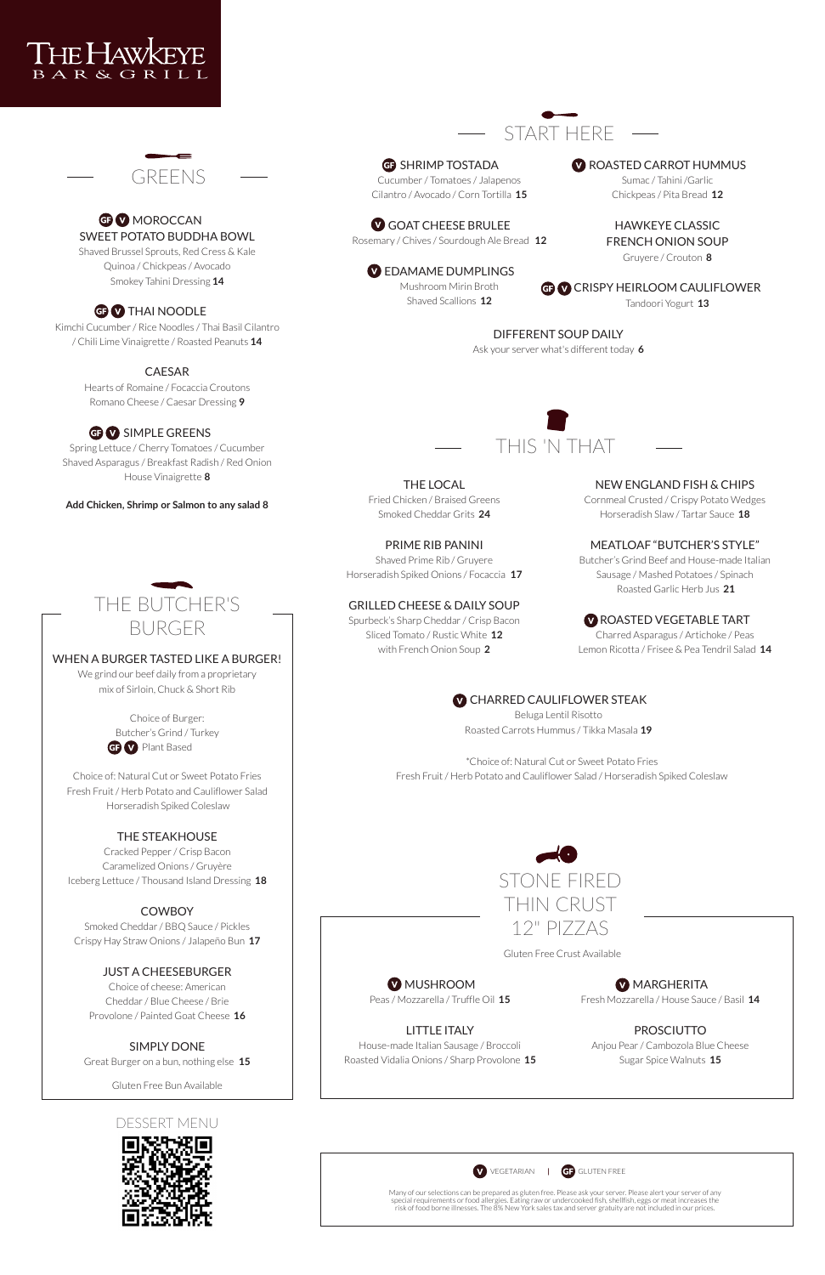START HERE

**G** SHRIMP TOSTADA Cucumber / Tomatoes / Jalapenos Cilantro / Avocado / Corn Tortilla **15**

GOAT CHEESE BRULEE Rosemary / Chives / Sourdough Ale Bread **12**

**W** EDAMAME DUMPLINGS Mushroom Mirin Broth

**W** ROASTED CARROT HUMMUS

Shaved Scallions **12**

**G** CRISPY HEIRLOOM CAULIFLOWER

Sumac / Tahini /Garlic Chickpeas / Pita Bread **12**

**V CHARRED CAULIFLOWER STEAK** Beluga Lentil Risotto Roasted Carrots Hummus / Tikka Masala **19**

HAWKEYE CLASSIC FRENCH ONION SOUP Gruyere / Crouton **8**

Tandoori Yogurt **13**

## DIFFERENT SOUP DAILY

Ask your server what's different today **6**

THE LOCAL Fried Chicken / Braised Greens Smoked Cheddar Grits **24**

#### PRIME RIB PANINI

Shaved Prime Rib / Gruyere Horseradish Spiked Onions / Focaccia **17**

#### GRILLED CHEESE & DAILY SOUP

Spurbeck's Sharp Cheddar / Crisp Bacon Sliced Tomato / Rustic White **12** with French Onion Soup **2**

NEW ENGLAND FISH & CHIPS

#### **W** MUSHROOM Peas / Mozzarella / Truffle Oil **15**

## **MARGHERITA**

Cornmeal Crusted / Crispy Potato Wedges Horseradish Slaw / Tartar Sauce **18**

## MEATLOAF "BUTCHER'S STYLE"

Butcher's Grind Beef and House-made Italian Sausage / Mashed Potatoes / Spinach Roasted Garlic Herb Jus **21**

# **GEV MOROCCAN** SWEET POTATO BUDDHA BOWL

## ROASTED VEGETABLE TART

Charred Asparagus / Artichoke / Peas Lemon Ricotta / Frisee & Pea Tendril Salad **14**







#### **Add Chicken, Shrimp or Salmon to any salad 8**

\*Choice of: Natural Cut or Sweet Potato Fries Fresh Fruit / Herb Potato and Cauliflower Salad / Horseradish Spiked Coleslaw

Choice of Burger: Butcher's Grind / Turkey **GP V** Plant Based



## LITTLE ITALY

House-made Italian Sausage / Broccoli Roasted Vidalia Onions / Sharp Provolone **15** Fresh Mozzarella / House Sauce / Basil **14**

#### PROSCIUTTO

Anjou Pear / Cambozola Blue Cheese Sugar Spice Walnuts **15**



Gluten Free Crust Available

Shaved Brussel Sprouts, Red Cress & Kale Quinoa / Chickpeas / Avocado Smokey Tahini Dressing **14**

## **GB** THAI NOODLE

Kimchi Cucumber / Rice Noodles / Thai Basil Cilantro / Chili Lime Vinaigrette / Roasted Peanuts **14**

### CAESAR

Hearts of Romaine / Focaccia Croutons Romano Cheese / Caesar Dressing **9**

# GEO SIMPLE GREENS

Spring Lettuce / Cherry Tomatoes / Cucumber Shaved Asparagus / Breakfast Radish / Red Onion House Vinaigrette **8**



## WHEN A BURGER TASTED LIKE A BURGER!

We grind our beef daily from a proprietary mix of Sirloin, Chuck & Short Rib

Choice of: Natural Cut or Sweet Potato Fries Fresh Fruit / Herb Potato and Cauliflower Salad Horseradish Spiked Coleslaw

## THE STEAKHOUSE

Cracked Pepper / Crisp Bacon Caramelized Onions / Gruyère Iceberg Lettuce / Thousand Island Dressing **18**

## **COWBOY**

Smoked Cheddar / BBQ Sauce / Pickles

Crispy Hay Straw Onions / Jalapeño Bun **17**

#### JUST A CHEESEBURGER

Choice of cheese: American Cheddar / Blue Cheese / Brie Provolone / Painted Goat Cheese **16**

#### SIMPLY DONE

Great Burger on a bun, nothing else **15**

Gluten Free Bun Available

## DESSERT MENU